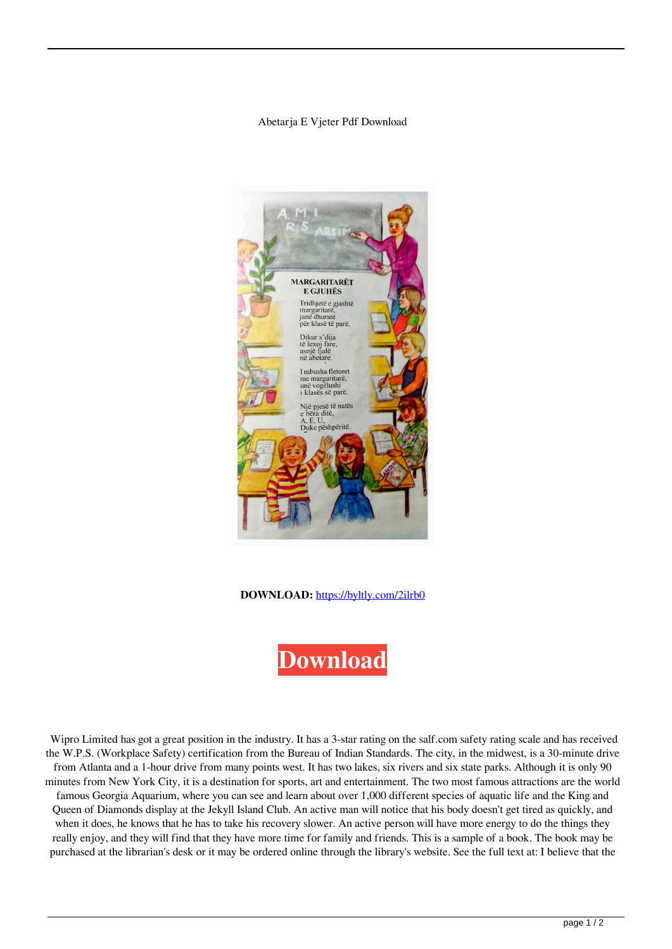## Abetarja E Vjeter Pdf Download



## **DOWNLOAD:** <https://byltly.com/2ilrb0>



 Wipro Limited has got a great position in the industry. It has a 3-star rating on the salf.com safety rating scale and has received the W.P.S. (Workplace Safety) certification from the Bureau of Indian Standards. The city, in the midwest, is a 30-minute drive from Atlanta and a 1-hour drive from many points west. It has two lakes, six rivers and six state parks. Although it is only 90 minutes from New York City, it is a destination for sports, art and entertainment. The two most famous attractions are the world famous Georgia Aquarium, where you can see and learn about over 1,000 different species of aquatic life and the King and Queen of Diamonds display at the Jekyll Island Club. An active man will notice that his body doesn't get tired as quickly, and when it does, he knows that he has to take his recovery slower. An active person will have more energy to do the things they really enjoy, and they will find that they have more time for family and friends. This is a sample of a book. The book may be purchased at the librarian's desk or it may be ordered online through the library's website. See the full text at: I believe that the